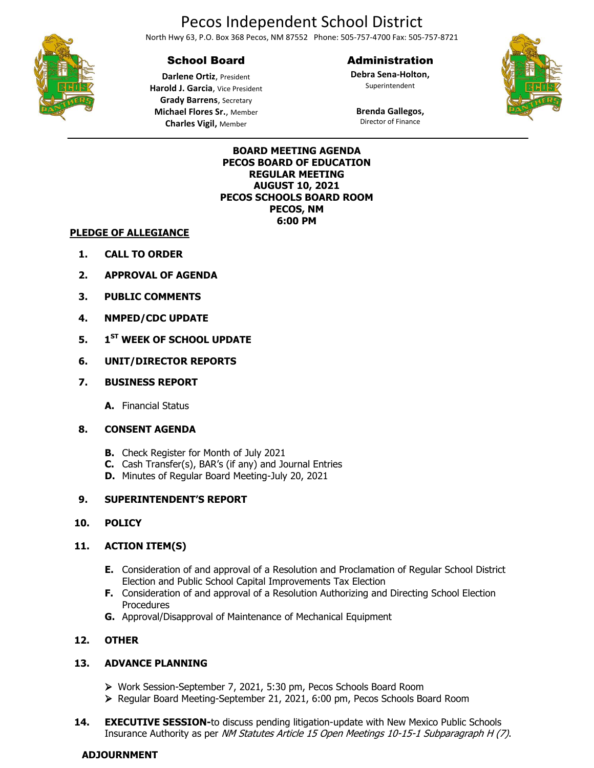# Pecos Independent School District

North Hwy 63, P.O. Box 368 Pecos, NM 87552 Phone: 505-757-4700 Fax: 505-757-8721

## School Board

Administration

**Debra Sena-Holton,** Superintendent





**Darlene Ortiz**, President **Harold J. Garcia**, Vice President **Grady Barrens**, Secretary **Michael Flores Sr.**, Member **Charles Vigil,** Member

**Brenda Gallegos,** Director of Finance

#### **BOARD MEETING AGENDA PECOS BOARD OF EDUCATION REGULAR MEETING AUGUST 10, 2021 PECOS SCHOOLS BOARD ROOM PECOS, NM 6:00 PM**

#### **PLEDGE OF ALLEGIANCE**

- **1. CALL TO ORDER**
- **2. APPROVAL OF AGENDA**
- **3. PUBLIC COMMENTS**
- **4. NMPED/CDC UPDATE**
- **5. 1 ST WEEK OF SCHOOL UPDATE**
- **6. UNIT/DIRECTOR REPORTS**
- **7. BUSINESS REPORT**
	- **A.** Financial Status
- **8. CONSENT AGENDA**
	- **B.** Check Register for Month of July 2021
	- **C.** Cash Transfer(s), BAR's (if any) and Journal Entries
	- **D.** Minutes of Regular Board Meeting-July 20, 2021

#### **9. SUPERINTENDENT'S REPORT**

#### **10. POLICY**

#### **11. ACTION ITEM(S)**

- **E.** Consideration of and approval of a Resolution and Proclamation of Regular School District Election and Public School Capital Improvements Tax Election
- **F.** Consideration of and approval of a Resolution Authorizing and Directing School Election **Procedures**
- **G.** Approval/Disapproval of Maintenance of Mechanical Equipment

#### **12. OTHER**

#### **13. ADVANCE PLANNING**

- Work Session-September 7, 2021, 5:30 pm, Pecos Schools Board Room
- Regular Board Meeting-September 21, 2021, 6:00 pm, Pecos Schools Board Room
- **14. EXECUTIVE SESSION-to discuss pending litigation-update with New Mexico Public Schools** Insurance Authority as per NM Statutes Article 15 Open Meetings 10-15-1 Subparagraph H (7).

#### **ADJOURNMENT**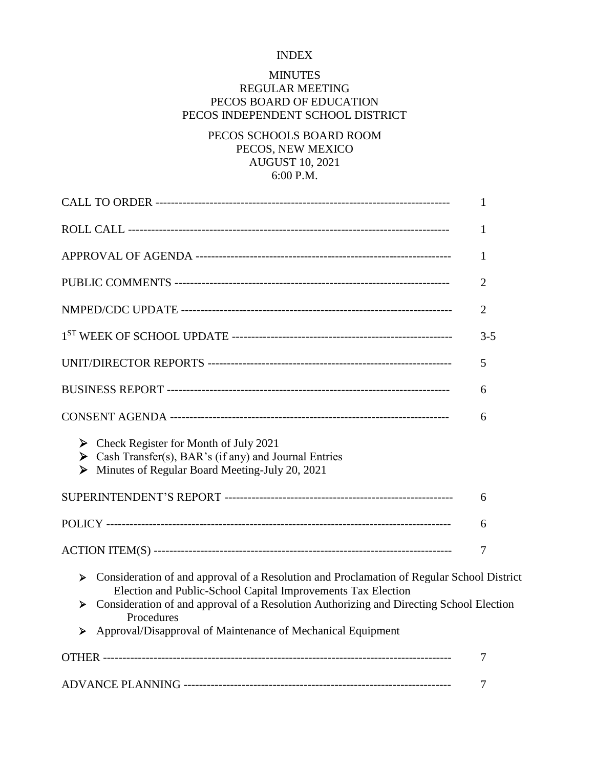### INDEX

## MINUTES REGULAR MEETING

## PECOS BOARD OF EDUCATION PECOS INDEPENDENT SCHOOL DISTRICT

## PECOS SCHOOLS BOARD ROOM PECOS, NEW MEXICO AUGUST 10, 2021 6:00 P.M.

|                                                                                                                                                                                                                                                                                                                                                  | 1              |
|--------------------------------------------------------------------------------------------------------------------------------------------------------------------------------------------------------------------------------------------------------------------------------------------------------------------------------------------------|----------------|
|                                                                                                                                                                                                                                                                                                                                                  | 1              |
|                                                                                                                                                                                                                                                                                                                                                  | $\mathbf{1}$   |
|                                                                                                                                                                                                                                                                                                                                                  | $\overline{2}$ |
|                                                                                                                                                                                                                                                                                                                                                  | $\overline{2}$ |
|                                                                                                                                                                                                                                                                                                                                                  | $3 - 5$        |
|                                                                                                                                                                                                                                                                                                                                                  | 5              |
|                                                                                                                                                                                                                                                                                                                                                  | 6              |
|                                                                                                                                                                                                                                                                                                                                                  | 6              |
| $\triangleright$ Check Register for Month of July 2021<br>Solution Cash Transfer(s), BAR's (if any) and Journal Entries<br>Minutes of Regular Board Meeting-July 20, 2021<br>➤                                                                                                                                                                   |                |
|                                                                                                                                                                                                                                                                                                                                                  | 6              |
|                                                                                                                                                                                                                                                                                                                                                  | 6              |
|                                                                                                                                                                                                                                                                                                                                                  | 7              |
| Consideration of and approval of a Resolution and Proclamation of Regular School District<br>≻<br>Election and Public-School Capital Improvements Tax Election<br>Consideration of and approval of a Resolution Authorizing and Directing School Election<br>➤<br>Procedures<br>Approval/Disapproval of Maintenance of Mechanical Equipment<br>≻ |                |
|                                                                                                                                                                                                                                                                                                                                                  | 7              |
|                                                                                                                                                                                                                                                                                                                                                  | 7              |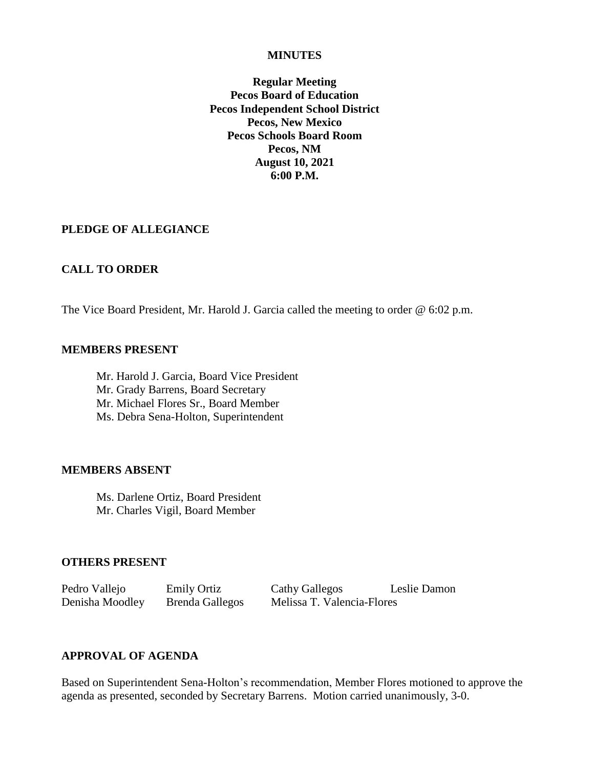#### **MINUTES**

**Regular Meeting Pecos Board of Education Pecos Independent School District Pecos, New Mexico Pecos Schools Board Room Pecos, NM August 10, 2021 6:00 P.M.**

#### **PLEDGE OF ALLEGIANCE**

#### **CALL TO ORDER**

The Vice Board President, Mr. Harold J. Garcia called the meeting to order @ 6:02 p.m.

#### **MEMBERS PRESENT**

Mr. Harold J. Garcia, Board Vice President Mr. Grady Barrens, Board Secretary Mr. Michael Flores Sr., Board Member Ms. Debra Sena-Holton, Superintendent

#### **MEMBERS ABSENT**

Ms. Darlene Ortiz, Board President Mr. Charles Vigil, Board Member

#### **OTHERS PRESENT**

Pedro Vallejo Emily Ortiz Cathy Gallegos Leslie Damon Denisha Moodley Brenda Gallegos Melissa T. Valencia-Flores

### **APPROVAL OF AGENDA**

Based on Superintendent Sena-Holton's recommendation, Member Flores motioned to approve the agenda as presented, seconded by Secretary Barrens. Motion carried unanimously, 3-0.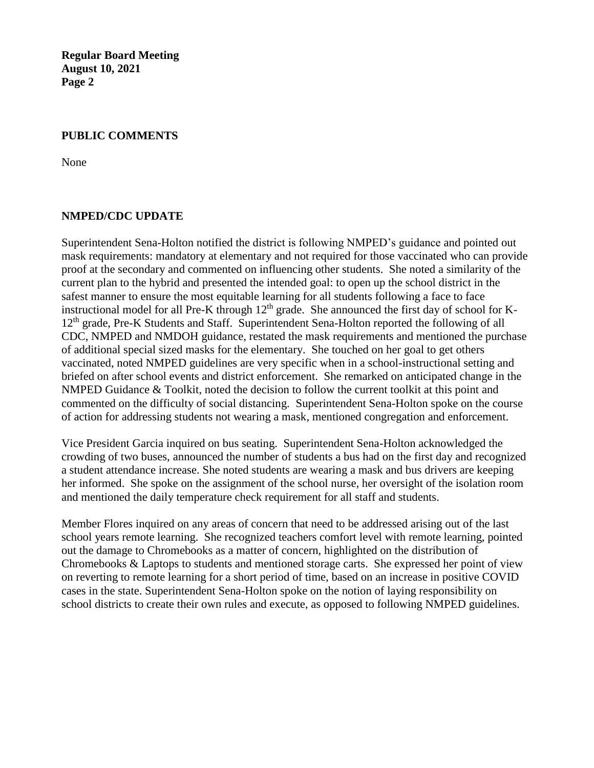### **PUBLIC COMMENTS**

None

#### **NMPED/CDC UPDATE**

Superintendent Sena-Holton notified the district is following NMPED's guidance and pointed out mask requirements: mandatory at elementary and not required for those vaccinated who can provide proof at the secondary and commented on influencing other students. She noted a similarity of the current plan to the hybrid and presented the intended goal: to open up the school district in the safest manner to ensure the most equitable learning for all students following a face to face instructional model for all Pre-K through  $12<sup>th</sup>$  grade. She announced the first day of school for K-12<sup>th</sup> grade, Pre-K Students and Staff. Superintendent Sena-Holton reported the following of all CDC, NMPED and NMDOH guidance, restated the mask requirements and mentioned the purchase of additional special sized masks for the elementary. She touched on her goal to get others vaccinated, noted NMPED guidelines are very specific when in a school-instructional setting and briefed on after school events and district enforcement. She remarked on anticipated change in the NMPED Guidance & Toolkit, noted the decision to follow the current toolkit at this point and commented on the difficulty of social distancing. Superintendent Sena-Holton spoke on the course of action for addressing students not wearing a mask, mentioned congregation and enforcement.

Vice President Garcia inquired on bus seating. Superintendent Sena-Holton acknowledged the crowding of two buses, announced the number of students a bus had on the first day and recognized a student attendance increase. She noted students are wearing a mask and bus drivers are keeping her informed. She spoke on the assignment of the school nurse, her oversight of the isolation room and mentioned the daily temperature check requirement for all staff and students.

Member Flores inquired on any areas of concern that need to be addressed arising out of the last school years remote learning. She recognized teachers comfort level with remote learning, pointed out the damage to Chromebooks as a matter of concern, highlighted on the distribution of Chromebooks & Laptops to students and mentioned storage carts. She expressed her point of view on reverting to remote learning for a short period of time, based on an increase in positive COVID cases in the state. Superintendent Sena-Holton spoke on the notion of laying responsibility on school districts to create their own rules and execute, as opposed to following NMPED guidelines.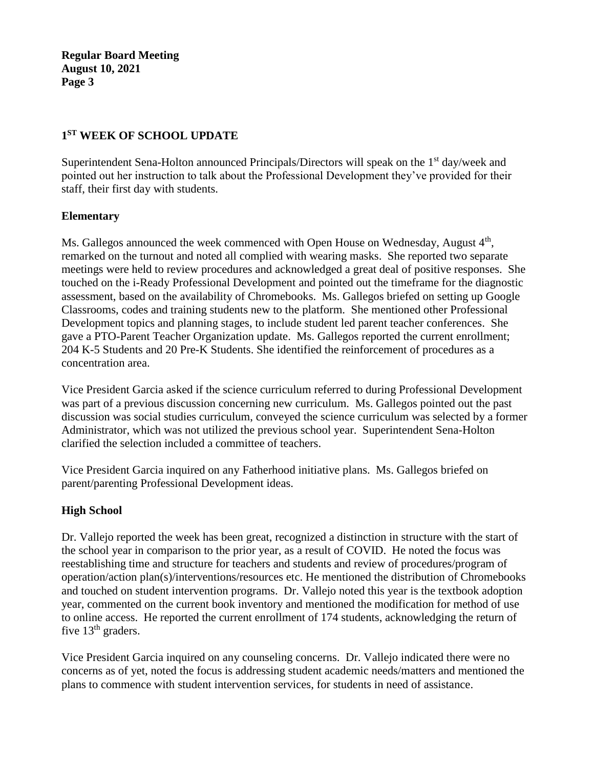## **1 ST WEEK OF SCHOOL UPDATE**

Superintendent Sena-Holton announced Principals/Directors will speak on the 1<sup>st</sup> day/week and pointed out her instruction to talk about the Professional Development they've provided for their staff, their first day with students.

## **Elementary**

Ms. Gallegos announced the week commenced with Open House on Wednesday, August 4<sup>th</sup>, remarked on the turnout and noted all complied with wearing masks. She reported two separate meetings were held to review procedures and acknowledged a great deal of positive responses. She touched on the i-Ready Professional Development and pointed out the timeframe for the diagnostic assessment, based on the availability of Chromebooks. Ms. Gallegos briefed on setting up Google Classrooms, codes and training students new to the platform. She mentioned other Professional Development topics and planning stages, to include student led parent teacher conferences. She gave a PTO-Parent Teacher Organization update. Ms. Gallegos reported the current enrollment; 204 K-5 Students and 20 Pre-K Students. She identified the reinforcement of procedures as a concentration area.

Vice President Garcia asked if the science curriculum referred to during Professional Development was part of a previous discussion concerning new curriculum. Ms. Gallegos pointed out the past discussion was social studies curriculum, conveyed the science curriculum was selected by a former Administrator, which was not utilized the previous school year. Superintendent Sena-Holton clarified the selection included a committee of teachers.

Vice President Garcia inquired on any Fatherhood initiative plans. Ms. Gallegos briefed on parent/parenting Professional Development ideas.

## **High School**

Dr. Vallejo reported the week has been great, recognized a distinction in structure with the start of the school year in comparison to the prior year, as a result of COVID. He noted the focus was reestablishing time and structure for teachers and students and review of procedures/program of operation/action plan(s)/interventions/resources etc. He mentioned the distribution of Chromebooks and touched on student intervention programs. Dr. Vallejo noted this year is the textbook adoption year, commented on the current book inventory and mentioned the modification for method of use to online access. He reported the current enrollment of 174 students, acknowledging the return of five  $13<sup>th</sup>$  graders.

Vice President Garcia inquired on any counseling concerns. Dr. Vallejo indicated there were no concerns as of yet, noted the focus is addressing student academic needs/matters and mentioned the plans to commence with student intervention services, for students in need of assistance.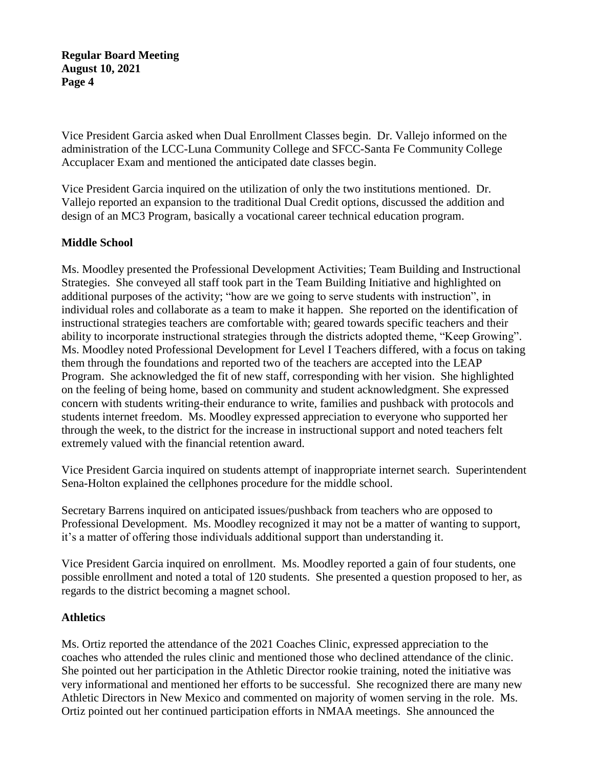Vice President Garcia asked when Dual Enrollment Classes begin. Dr. Vallejo informed on the administration of the LCC-Luna Community College and SFCC-Santa Fe Community College Accuplacer Exam and mentioned the anticipated date classes begin.

Vice President Garcia inquired on the utilization of only the two institutions mentioned. Dr. Vallejo reported an expansion to the traditional Dual Credit options, discussed the addition and design of an MC3 Program, basically a vocational career technical education program.

## **Middle School**

Ms. Moodley presented the Professional Development Activities; Team Building and Instructional Strategies. She conveyed all staff took part in the Team Building Initiative and highlighted on additional purposes of the activity; "how are we going to serve students with instruction", in individual roles and collaborate as a team to make it happen. She reported on the identification of instructional strategies teachers are comfortable with; geared towards specific teachers and their ability to incorporate instructional strategies through the districts adopted theme, "Keep Growing". Ms. Moodley noted Professional Development for Level I Teachers differed, with a focus on taking them through the foundations and reported two of the teachers are accepted into the LEAP Program. She acknowledged the fit of new staff, corresponding with her vision. She highlighted on the feeling of being home, based on community and student acknowledgment. She expressed concern with students writing-their endurance to write, families and pushback with protocols and students internet freedom. Ms. Moodley expressed appreciation to everyone who supported her through the week, to the district for the increase in instructional support and noted teachers felt extremely valued with the financial retention award.

Vice President Garcia inquired on students attempt of inappropriate internet search. Superintendent Sena-Holton explained the cellphones procedure for the middle school.

Secretary Barrens inquired on anticipated issues/pushback from teachers who are opposed to Professional Development. Ms. Moodley recognized it may not be a matter of wanting to support, it's a matter of offering those individuals additional support than understanding it.

Vice President Garcia inquired on enrollment. Ms. Moodley reported a gain of four students, one possible enrollment and noted a total of 120 students. She presented a question proposed to her, as regards to the district becoming a magnet school.

#### **Athletics**

Ms. Ortiz reported the attendance of the 2021 Coaches Clinic, expressed appreciation to the coaches who attended the rules clinic and mentioned those who declined attendance of the clinic. She pointed out her participation in the Athletic Director rookie training, noted the initiative was very informational and mentioned her efforts to be successful. She recognized there are many new Athletic Directors in New Mexico and commented on majority of women serving in the role. Ms. Ortiz pointed out her continued participation efforts in NMAA meetings. She announced the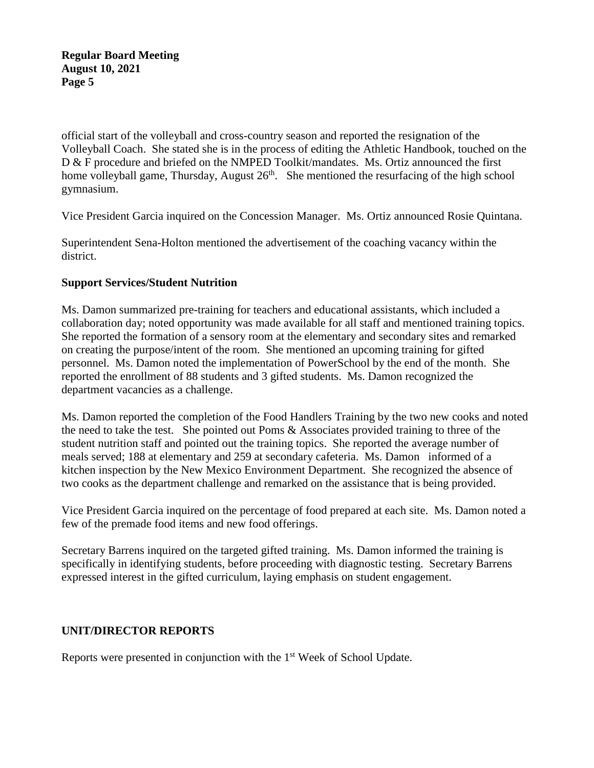official start of the volleyball and cross-country season and reported the resignation of the Volleyball Coach. She stated she is in the process of editing the Athletic Handbook, touched on the D & F procedure and briefed on the NMPED Toolkit/mandates. Ms. Ortiz announced the first home volleyball game, Thursday, August 26<sup>th</sup>. She mentioned the resurfacing of the high school gymnasium.

Vice President Garcia inquired on the Concession Manager. Ms. Ortiz announced Rosie Quintana.

Superintendent Sena-Holton mentioned the advertisement of the coaching vacancy within the district.

## **Support Services/Student Nutrition**

Ms. Damon summarized pre-training for teachers and educational assistants, which included a collaboration day; noted opportunity was made available for all staff and mentioned training topics. She reported the formation of a sensory room at the elementary and secondary sites and remarked on creating the purpose/intent of the room. She mentioned an upcoming training for gifted personnel. Ms. Damon noted the implementation of PowerSchool by the end of the month. She reported the enrollment of 88 students and 3 gifted students. Ms. Damon recognized the department vacancies as a challenge.

Ms. Damon reported the completion of the Food Handlers Training by the two new cooks and noted the need to take the test. She pointed out Poms & Associates provided training to three of the student nutrition staff and pointed out the training topics. She reported the average number of meals served; 188 at elementary and 259 at secondary cafeteria. Ms. Damon informed of a kitchen inspection by the New Mexico Environment Department. She recognized the absence of two cooks as the department challenge and remarked on the assistance that is being provided.

Vice President Garcia inquired on the percentage of food prepared at each site. Ms. Damon noted a few of the premade food items and new food offerings.

Secretary Barrens inquired on the targeted gifted training. Ms. Damon informed the training is specifically in identifying students, before proceeding with diagnostic testing. Secretary Barrens expressed interest in the gifted curriculum, laying emphasis on student engagement.

## **UNIT/DIRECTOR REPORTS**

Reports were presented in conjunction with the 1<sup>st</sup> Week of School Update.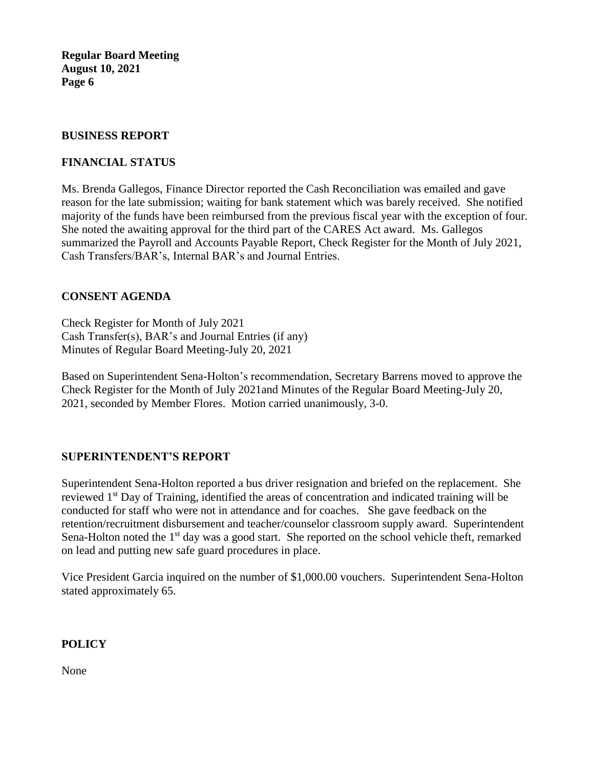#### **BUSINESS REPORT**

## **FINANCIAL STATUS**

Ms. Brenda Gallegos, Finance Director reported the Cash Reconciliation was emailed and gave reason for the late submission; waiting for bank statement which was barely received. She notified majority of the funds have been reimbursed from the previous fiscal year with the exception of four. She noted the awaiting approval for the third part of the CARES Act award. Ms. Gallegos summarized the Payroll and Accounts Payable Report, Check Register for the Month of July 2021, Cash Transfers/BAR's, Internal BAR's and Journal Entries.

## **CONSENT AGENDA**

Check Register for Month of July 2021 Cash Transfer(s), BAR's and Journal Entries (if any) Minutes of Regular Board Meeting-July 20, 2021

Based on Superintendent Sena-Holton's recommendation, Secretary Barrens moved to approve the Check Register for the Month of July 2021and Minutes of the Regular Board Meeting-July 20, 2021, seconded by Member Flores. Motion carried unanimously, 3-0.

## **SUPERINTENDENT'S REPORT**

Superintendent Sena-Holton reported a bus driver resignation and briefed on the replacement. She reviewed 1<sup>st</sup> Day of Training, identified the areas of concentration and indicated training will be conducted for staff who were not in attendance and for coaches. She gave feedback on the retention/recruitment disbursement and teacher/counselor classroom supply award. Superintendent Sena-Holton noted the  $1<sup>st</sup>$  day was a good start. She reported on the school vehicle theft, remarked on lead and putting new safe guard procedures in place.

Vice President Garcia inquired on the number of \$1,000.00 vouchers. Superintendent Sena-Holton stated approximately 65.

## **POLICY**

None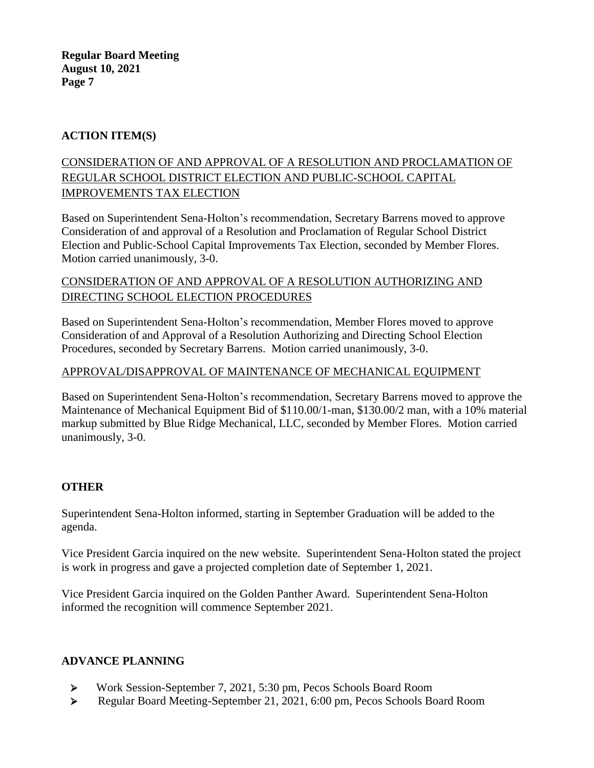## **ACTION ITEM(S)**

## CONSIDERATION OF AND APPROVAL OF A RESOLUTION AND PROCLAMATION OF REGULAR SCHOOL DISTRICT ELECTION AND PUBLIC-SCHOOL CAPITAL IMPROVEMENTS TAX ELECTION

Based on Superintendent Sena-Holton's recommendation, Secretary Barrens moved to approve Consideration of and approval of a Resolution and Proclamation of Regular School District Election and Public-School Capital Improvements Tax Election, seconded by Member Flores. Motion carried unanimously, 3-0.

## CONSIDERATION OF AND APPROVAL OF A RESOLUTION AUTHORIZING AND DIRECTING SCHOOL ELECTION PROCEDURES

Based on Superintendent Sena-Holton's recommendation, Member Flores moved to approve Consideration of and Approval of a Resolution Authorizing and Directing School Election Procedures, seconded by Secretary Barrens. Motion carried unanimously, 3-0.

## APPROVAL/DISAPPROVAL OF MAINTENANCE OF MECHANICAL EQUIPMENT

Based on Superintendent Sena-Holton's recommendation, Secretary Barrens moved to approve the Maintenance of Mechanical Equipment Bid of \$110.00/1-man, \$130.00/2 man, with a 10% material markup submitted by Blue Ridge Mechanical, LLC, seconded by Member Flores. Motion carried unanimously, 3-0.

## **OTHER**

Superintendent Sena-Holton informed, starting in September Graduation will be added to the agenda.

Vice President Garcia inquired on the new website. Superintendent Sena-Holton stated the project is work in progress and gave a projected completion date of September 1, 2021.

Vice President Garcia inquired on the Golden Panther Award. Superintendent Sena-Holton informed the recognition will commence September 2021.

## **ADVANCE PLANNING**

- ➢ Work Session-September 7, 2021, 5:30 pm, Pecos Schools Board Room
- ➢ Regular Board Meeting-September 21, 2021, 6:00 pm, Pecos Schools Board Room